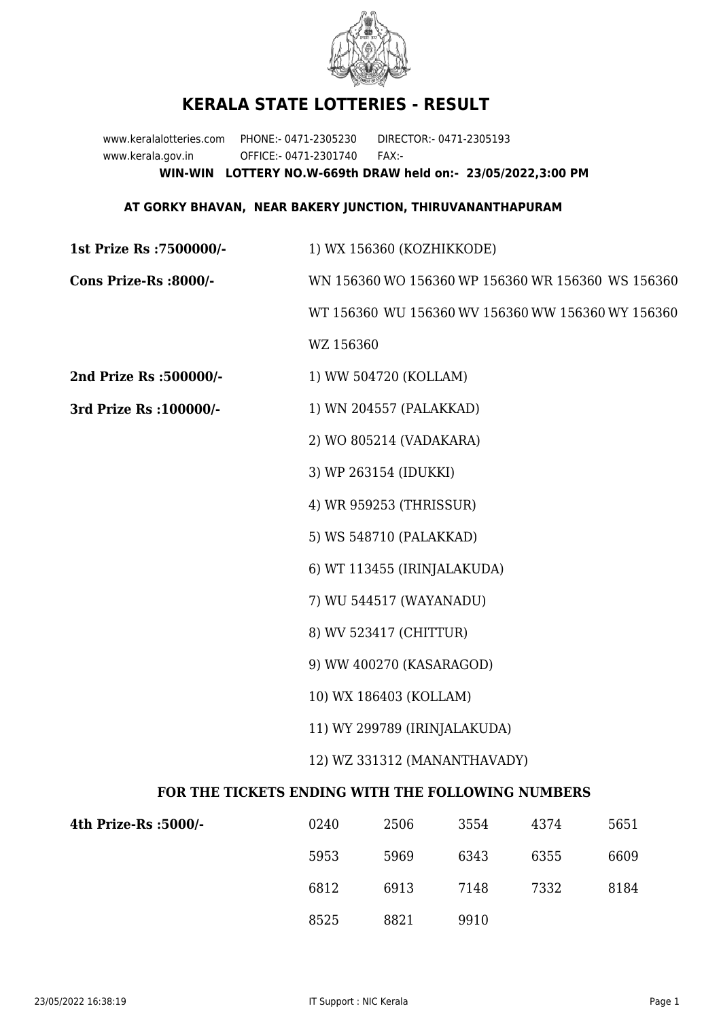

## **KERALA STATE LOTTERIES - RESULT**

www.keralalotteries.com PHONE:- 0471-2305230 DIRECTOR:- 0471-2305193 www.kerala.gov.in OFFICE:- 0471-2301740 FAX:- **WIN-WIN LOTTERY NO.W-669th DRAW held on:- 23/05/2022,3:00 PM**

## **AT GORKY BHAVAN, NEAR BAKERY JUNCTION, THIRUVANANTHAPURAM**

| 1st Prize Rs : 7500000/-                          | 1) WX 156360 (KOZHIKKODE)                         |  |  |
|---------------------------------------------------|---------------------------------------------------|--|--|
| Cons Prize-Rs :8000/-                             | WN 156360 WO 156360 WP 156360 WR 156360 WS 156360 |  |  |
|                                                   | WT 156360 WU 156360 WV 156360 WW 156360 WY 156360 |  |  |
|                                                   | WZ 156360                                         |  |  |
| 2nd Prize Rs :500000/-                            | 1) WW 504720 (KOLLAM)                             |  |  |
| 3rd Prize Rs : 100000/-                           | 1) WN 204557 (PALAKKAD)                           |  |  |
|                                                   | 2) WO 805214 (VADAKARA)                           |  |  |
|                                                   | 3) WP 263154 (IDUKKI)                             |  |  |
|                                                   | 4) WR 959253 (THRISSUR)                           |  |  |
|                                                   | 5) WS 548710 (PALAKKAD)                           |  |  |
|                                                   | 6) WT 113455 (IRINJALAKUDA)                       |  |  |
|                                                   | 7) WU 544517 (WAYANADU)                           |  |  |
|                                                   | 8) WV 523417 (CHITTUR)                            |  |  |
|                                                   | 9) WW 400270 (KASARAGOD)                          |  |  |
|                                                   | 10) WX 186403 (KOLLAM)                            |  |  |
|                                                   | 11) WY 299789 (IRINJALAKUDA)                      |  |  |
|                                                   | 12) WZ 331312 (MANANTHAVADY)                      |  |  |
| FOR THE TICKETS ENDING WITH THE FOLLOWING NUMBERS |                                                   |  |  |

| 4th Prize-Rs :5000/- | 0240 | 2506 | 3554 | 4374 | 5651 |
|----------------------|------|------|------|------|------|
|                      | 5953 | 5969 | 6343 | 6355 | 6609 |
|                      | 6812 | 6913 | 7148 | 7332 | 8184 |
|                      | 8525 | 8821 | 9910 |      |      |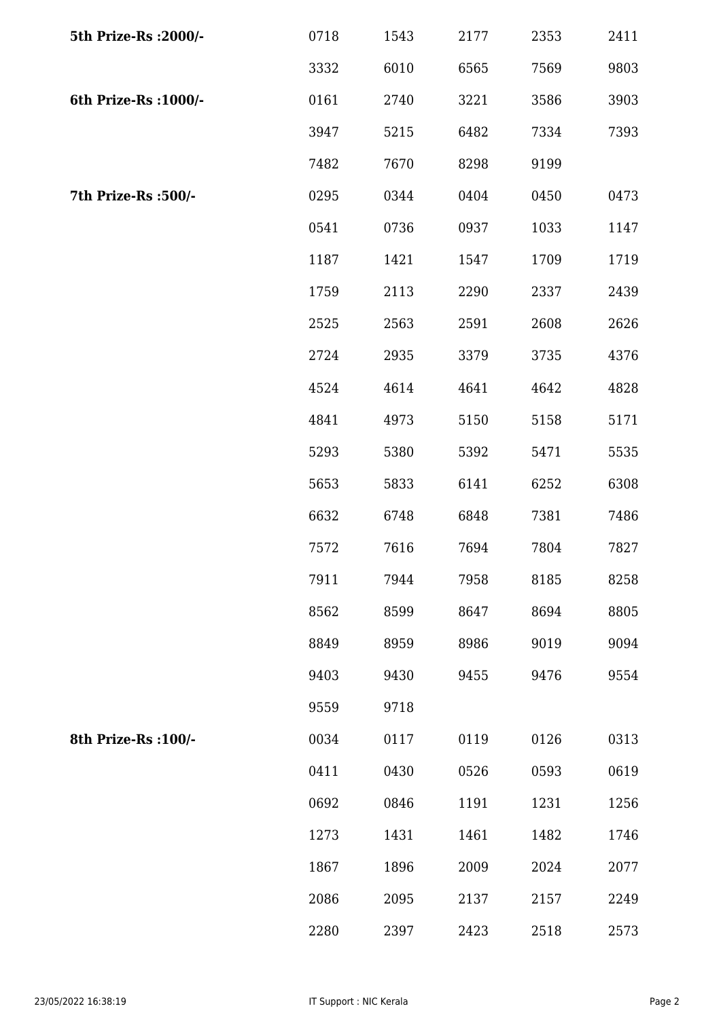| 5th Prize-Rs : 2000/- | 0718 | 1543 | 2177 | 2353 | 2411 |
|-----------------------|------|------|------|------|------|
|                       | 3332 | 6010 | 6565 | 7569 | 9803 |
| 6th Prize-Rs : 1000/- | 0161 | 2740 | 3221 | 3586 | 3903 |
|                       | 3947 | 5215 | 6482 | 7334 | 7393 |
|                       | 7482 | 7670 | 8298 | 9199 |      |
| 7th Prize-Rs :500/-   | 0295 | 0344 | 0404 | 0450 | 0473 |
|                       | 0541 | 0736 | 0937 | 1033 | 1147 |
|                       | 1187 | 1421 | 1547 | 1709 | 1719 |
|                       | 1759 | 2113 | 2290 | 2337 | 2439 |
|                       | 2525 | 2563 | 2591 | 2608 | 2626 |
|                       | 2724 | 2935 | 3379 | 3735 | 4376 |
|                       | 4524 | 4614 | 4641 | 4642 | 4828 |
|                       | 4841 | 4973 | 5150 | 5158 | 5171 |
|                       | 5293 | 5380 | 5392 | 5471 | 5535 |
|                       | 5653 | 5833 | 6141 | 6252 | 6308 |
|                       | 6632 | 6748 | 6848 | 7381 | 7486 |
|                       | 7572 | 7616 | 7694 | 7804 | 7827 |
|                       | 7911 | 7944 | 7958 | 8185 | 8258 |
|                       | 8562 | 8599 | 8647 | 8694 | 8805 |
|                       | 8849 | 8959 | 8986 | 9019 | 9094 |
|                       | 9403 | 9430 | 9455 | 9476 | 9554 |
|                       | 9559 | 9718 |      |      |      |
| 8th Prize-Rs : 100/-  | 0034 | 0117 | 0119 | 0126 | 0313 |
|                       | 0411 | 0430 | 0526 | 0593 | 0619 |
|                       | 0692 | 0846 | 1191 | 1231 | 1256 |
|                       | 1273 | 1431 | 1461 | 1482 | 1746 |
|                       | 1867 | 1896 | 2009 | 2024 | 2077 |
|                       | 2086 | 2095 | 2137 | 2157 | 2249 |
|                       | 2280 | 2397 | 2423 | 2518 | 2573 |